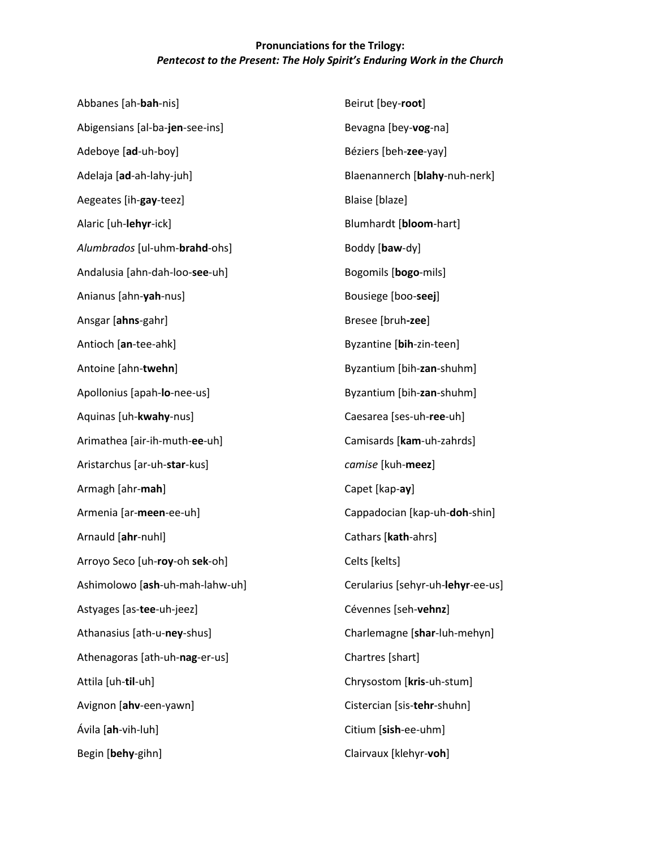| Abbanes [ah-bah-nis]            | Beirut [bey-root]                 |
|---------------------------------|-----------------------------------|
| Abigensians [al-ba-jen-see-ins] | Bevagna [bey-vog-na]              |
| Adeboye [ad-uh-boy]             | Béziers [beh-zee-yay]             |
| Adelaja [ad-ah-lahy-juh]        | Blaenannerch [blahy-nuh-nerk]     |
| Aegeates [ih-gay-teez]          | Blaise [blaze]                    |
| Alaric [uh-lehyr-ick]           | Blumhardt [bloom-hart]            |
| Alumbrados [ul-uhm-brahd-ohs]   | Boddy [baw-dy]                    |
| Andalusia [ahn-dah-loo-see-uh]  | Bogomils [bogo-mils]              |
| Anianus [ahn-yah-nus]           | Bousiege [boo-seej]               |
| Ansgar [ahns-gahr]              | Bresee [bruh-zee]                 |
| Antioch [an-tee-ahk]            | Byzantine [bih-zin-teen]          |
| Antoine [ahn-twehn]             | Byzantium [bih-zan-shuhm]         |
| Apollonius [apah-lo-nee-us]     | Byzantium [bih-zan-shuhm]         |
| Aquinas [uh-kwahy-nus]          | Caesarea [ses-uh-ree-uh]          |
| Arimathea [air-ih-muth-ee-uh]   | Camisards [kam-uh-zahrds]         |
| Aristarchus [ar-uh-star-kus]    | camise [kuh-meez]                 |
| Armagh [ahr-mah]                | Capet [kap-ay]                    |
| Armenia [ar-meen-ee-uh]         | Cappadocian [kap-uh-doh-shin]     |
| Arnauld [ahr-nuhl]              | Cathars [kath-ahrs]               |
| Arroyo Seco [uh-roy-oh sek-oh]  | Celts [kelts]                     |
| Ashimolowo [ash-uh-mah-lahw-uh] | Cerularius [sehyr-uh-lehyr-ee-us] |
| Astyages [as-tee-uh-jeez]       | Cévennes [seh-vehnz]              |
| Athanasius [ath-u-ney-shus]     | Charlemagne [shar-luh-mehyn]      |
| Athenagoras [ath-uh-nag-er-us]  | Chartres [shart]                  |
| Attila [uh-til-uh]              | Chrysostom [kris-uh-stum]         |
| Avignon [ahv-een-yawn]          | Cistercian [sis-tehr-shuhn]       |
| Ávila [ah-vih-luh]              | Citium [sish-ee-uhm]              |
| Begin [behy-gihn]               | Clairvaux [klehyr-voh]            |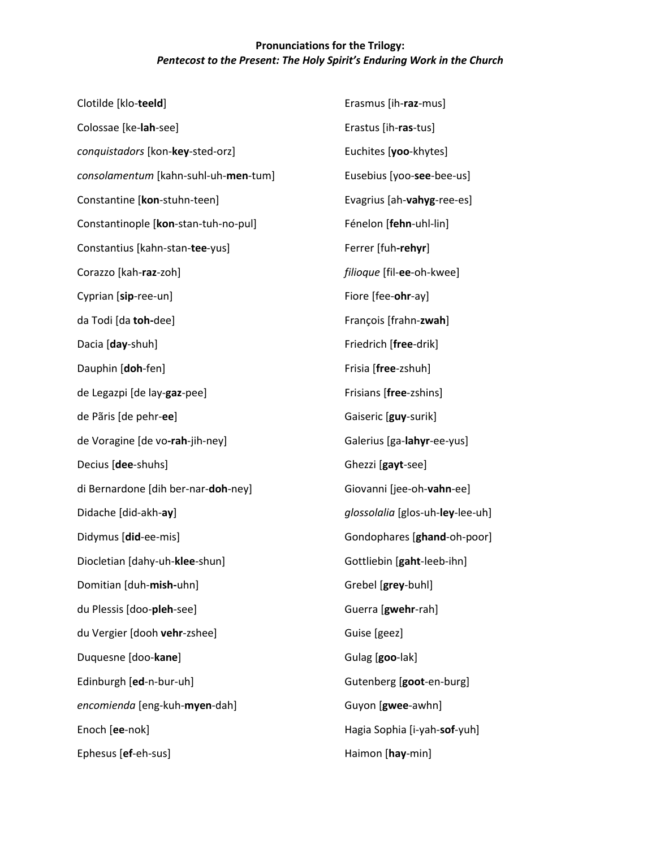| Clotilde [klo-teeld]                 | Erasmus [ih-raz-mus]             |
|--------------------------------------|----------------------------------|
| Colossae [ke-lah-see]                | Erastus [ih-ras-tus]             |
| conquistadors [kon-key-sted-orz]     | Euchites [yoo-khytes]            |
| consolamentum [kahn-suhl-uh-men-tum] | Eusebius [yoo-see-bee-us]        |
| Constantine [kon-stuhn-teen]         | Evagrius [ah-vahyg-ree-es]       |
| Constantinople [kon-stan-tuh-no-pul] | Fénelon [fehn-uhl-lin]           |
| Constantius [kahn-stan-tee-yus]      | Ferrer [fuh-rehyr]               |
| Corazzo [kah-raz-zoh]                | filioque [fil-ee-oh-kwee]        |
| Cyprian [sip-ree-un]                 | Fiore [fee-ohr-ay]               |
| da Todi [da toh-dee]                 | François [frahn-zwah]            |
| Dacia [day-shuh]                     | Friedrich [free-drik]            |
| Dauphin [doh-fen]                    | Frisia [free-zshuh]              |
| de Legazpi [de lay-gaz-pee]          | Frisians [free-zshins]           |
| de Pãris [de pehr-ee]                | Gaiseric [guy-surik]             |
| de Voragine [de vo-rah-jih-ney]      | Galerius [ga-lahyr-ee-yus]       |
| Decius [dee-shuhs]                   | Ghezzi [gayt-see]                |
| di Bernardone [dih ber-nar-doh-ney]  | Giovanni [jee-oh-vahn-ee]        |
| Didache [did-akh-ay]                 | glossolalia [glos-uh-ley-lee-uh] |
| Didymus [did-ee-mis]                 | Gondophares [ghand-oh-poor]      |
| Diocletian [dahy-uh-klee-shun]       | Gottliebin [gaht-leeb-ihn]       |
| Domitian [duh-mish-uhn]              | Grebel [grey-buhl]               |
| du Plessis [doo-pleh-see]            | Guerra [gwehr-rah]               |
| du Vergier [dooh vehr-zshee]         | Guise [geez]                     |
| Duquesne [doo-kane]                  | Gulag [goo-lak]                  |
| Edinburgh [ed-n-bur-uh]              | Gutenberg [goot-en-burg]         |
| encomienda [eng-kuh-myen-dah]        | Guyon [gwee-awhn]                |
| Enoch [ee-nok]                       | Hagia Sophia [i-yah-sof-yuh]     |
| Ephesus [ef-eh-sus]                  | Haimon [hay-min]                 |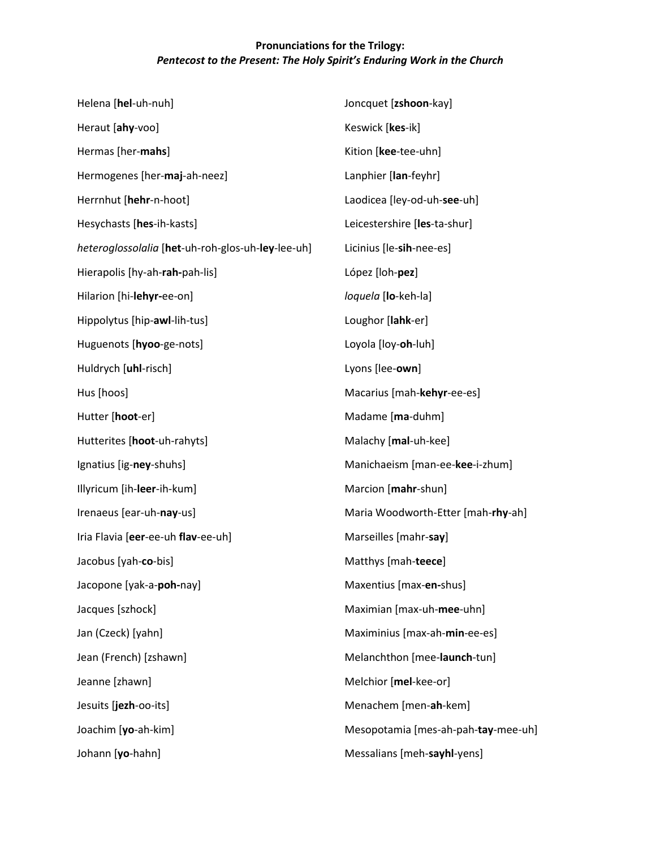| Helena [hel-uh-nuh]                               | Joncquet [zshoon-kay]               |
|---------------------------------------------------|-------------------------------------|
| Heraut [ahy-voo]                                  | Keswick [kes-ik]                    |
| Hermas [her-mahs]                                 | Kition [kee-tee-uhn]                |
| Hermogenes [her-maj-ah-neez]                      | Lanphier [lan-feyhr]                |
| Herrnhut [hehr-n-hoot]                            | Laodicea [ley-od-uh-see-uh]         |
| Hesychasts [hes-ih-kasts]                         | Leicestershire [les-ta-shur]        |
| heteroglossolalia [het-uh-roh-glos-uh-ley-lee-uh] | Licinius [le-sih-nee-es]            |
| Hierapolis [hy-ah-rah-pah-lis]                    | López [loh-pez]                     |
| Hilarion [hi-lehyr-ee-on]                         | loquela [lo-keh-la]                 |
| Hippolytus [hip-awl-lih-tus]                      | Loughor [lahk-er]                   |
| Huguenots [hyoo-ge-nots]                          | Loyola [loy-oh-luh]                 |
| Huldrych [uhl-risch]                              | Lyons [lee-own]                     |
| Hus [hoos]                                        | Macarius [mah-kehyr-ee-es]          |
| Hutter [hoot-er]                                  | Madame [ma-duhm]                    |
| Hutterites [hoot-uh-rahyts]                       | Malachy [mal-uh-kee]                |
| Ignatius [ig-ney-shuhs]                           | Manichaeism [man-ee-kee-i-zhum]     |
| Illyricum [ih-leer-ih-kum]                        | Marcion [mahr-shun]                 |
| Irenaeus [ear-uh-nay-us]                          | Maria Woodworth-Etter [mah-rhy-ah]  |
| Iria Flavia [eer-ee-uh flav-ee-uh]                | Marseilles [mahr-say]               |
| Jacobus [yah-co-bis]                              | Matthys [mah-teece]                 |
| Jacopone [yak-a-poh-nay]                          | Maxentius [max-en-shus]             |
| Jacques [szhock]                                  | Maximian [max-uh-mee-uhn]           |
| Jan (Czeck) [yahn]                                | Maximinius [max-ah-min-ee-es]       |
| Jean (French) [zshawn]                            | Melanchthon [mee-launch-tun]        |
| Jeanne [zhawn]                                    | Melchior [mel-kee-or]               |
| Jesuits [jezh-oo-its]                             | Menachem [men-ah-kem]               |
| Joachim [yo-ah-kim]                               | Mesopotamia [mes-ah-pah-tay-mee-uh] |
| Johann [yo-hahn]                                  | Messalians [meh-sayhl-yens]         |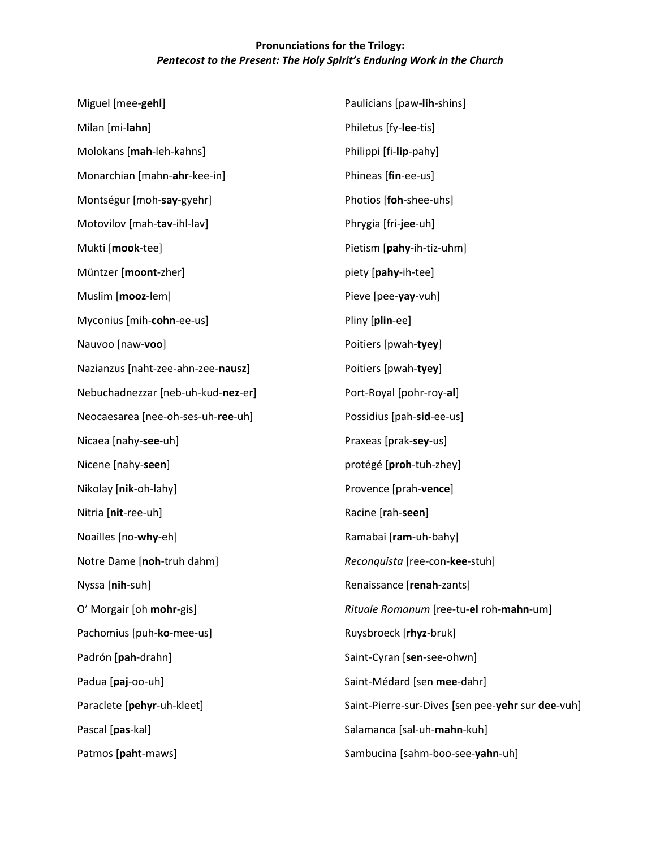| Miguel [mee-gehl]                  | Paulicians [paw-lih-shins]                        |
|------------------------------------|---------------------------------------------------|
| Milan [mi-lahn]                    | Philetus [fy-lee-tis]                             |
| Molokans [mah-leh-kahns]           | Philippi [fi-lip-pahy]                            |
| Monarchian [mahn-ahr-kee-in]       | Phineas [fin-ee-us]                               |
| Montségur [moh-say-gyehr]          | Photios [foh-shee-uhs]                            |
| Motovilov [mah-tav-ihl-lav]        | Phrygia [fri-jee-uh]                              |
| Mukti [mook-tee]                   | Pietism [pahy-ih-tiz-uhm]                         |
| Müntzer [moont-zher]               | piety [pahy-ih-tee]                               |
| Muslim [mooz-lem]                  | Pieve [pee-yay-vuh]                               |
| Myconius [mih-cohn-ee-us]          | Pliny [plin-ee]                                   |
| Nauvoo [naw-voo]                   | Poitiers [pwah-tyey]                              |
| Nazianzus [naht-zee-ahn-zee-nausz] | Poitiers [pwah-tyey]                              |
| Nebuchadnezzar [neb-uh-kud-nez-er] | Port-Royal [pohr-roy-al]                          |
| Neocaesarea [nee-oh-ses-uh-ree-uh] | Possidius [pah-sid-ee-us]                         |
| Nicaea [nahy-see-uh]               | Praxeas [prak-sey-us]                             |
| Nicene [nahy-seen]                 | protégé [proh-tuh-zhey]                           |
| Nikolay [nik-oh-lahy]              | Provence [prah-vence]                             |
| Nitria [nit-ree-uh]                | Racine [rah-seen]                                 |
| Noailles [no-why-eh]               | Ramabai [ram-uh-bahy]                             |
| Notre Dame [noh-truh dahm]         | Reconquista [ree-con-kee-stuh]                    |
| Nyssa [nih-suh]                    | Renaissance [renah-zants]                         |
| O' Morgair [oh mohr-gis]           | Rituale Romanum [ree-tu-el roh-mahn-um]           |
| Pachomius [puh-ko-mee-us]          | Ruysbroeck [rhyz-bruk]                            |
| Padrón [pah-drahn]                 | Saint-Cyran [sen-see-ohwn]                        |
| Padua [paj-oo-uh]                  | Saint-Médard [sen mee-dahr]                       |
| Paraclete [pehyr-uh-kleet]         | Saint-Pierre-sur-Dives [sen pee-yehr sur dee-vuh] |
| Pascal [pas-kal]                   | Salamanca [sal-uh-mahn-kuh]                       |
| Patmos [paht-maws]                 | Sambucina [sahm-boo-see-yahn-uh]                  |